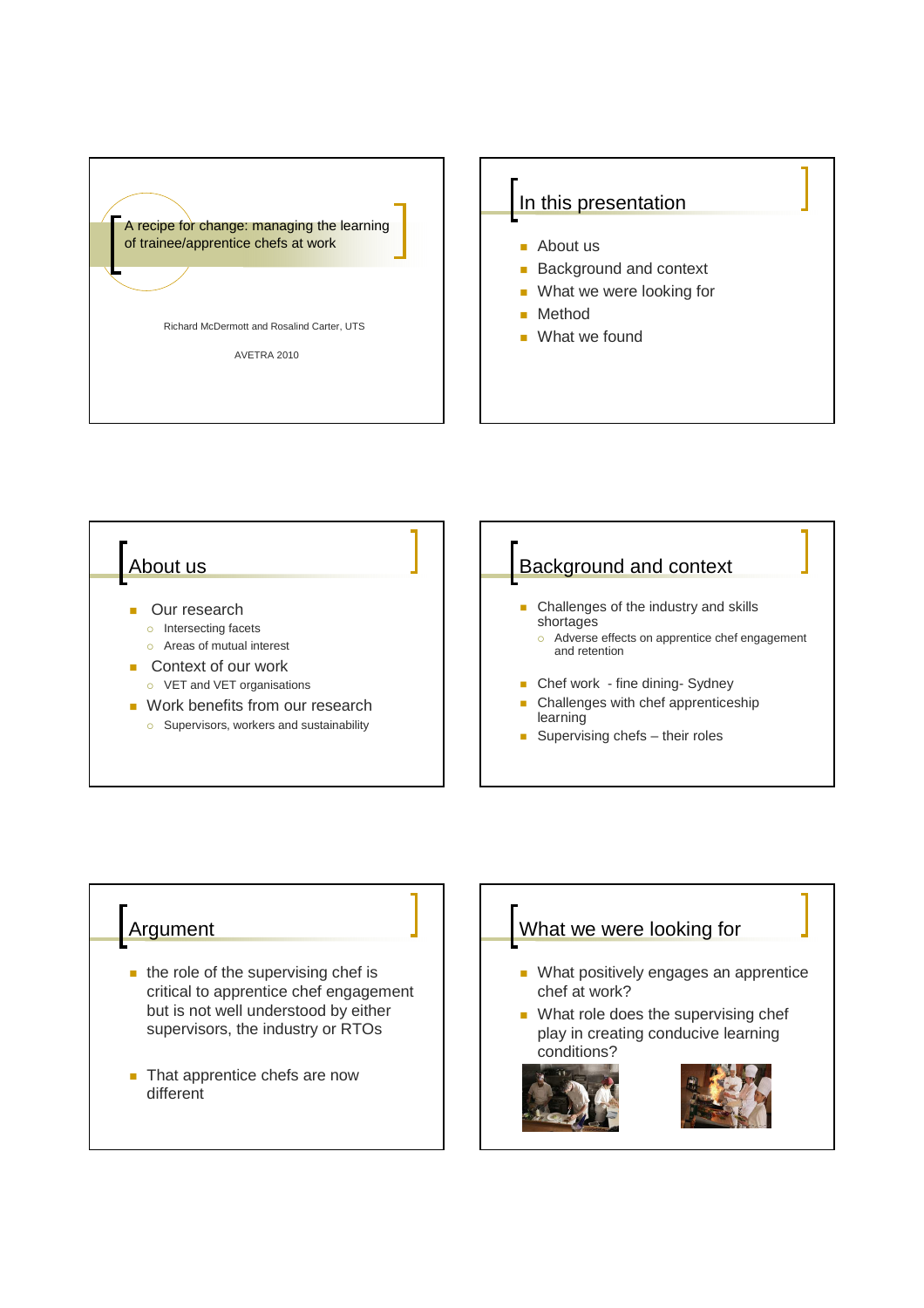

# In this presentation

- About us
- **Background and context**
- What we were looking for
- Method
- What we found



### Argument

- $\blacksquare$  the role of the supervising chef is critical to apprentice chef engagement but is not well understood by either supervisors, the industry or RTOs
- That apprentice chefs are now different